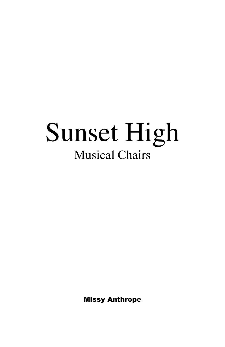# Sunset High Musical Chairs

Missy Anthrope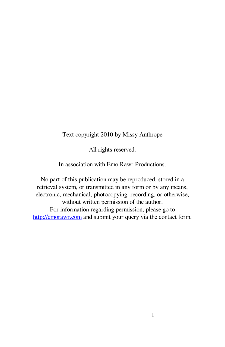#### Text copyright 2010 by Missy Anthrope

All rights reserved.

In association with Emo Rawr Productions.

No part of this publication may be reproduced, stored in a retrieval system, or transmitted in any form or by any means, electronic, mechanical, photocopying, recording, or otherwise, without written permission of the author. For information regarding permission, please go to http://emorawr.com and submit your query via the contact form.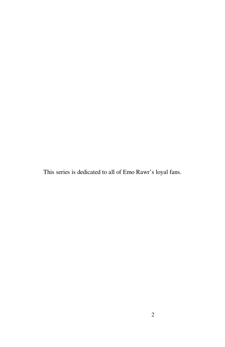This series is dedicated to all of Emo Rawr's loyal fans.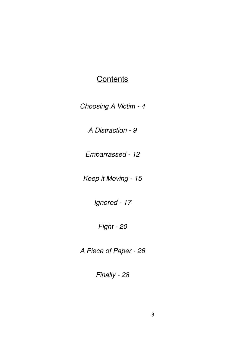#### **Contents**

Choosing A Victim - 4

A Distraction - 9

Embarrassed - 12

Keep it Moving - 15

Ignored - 17

Fight - 20

A Piece of Paper - 26

Finally - 28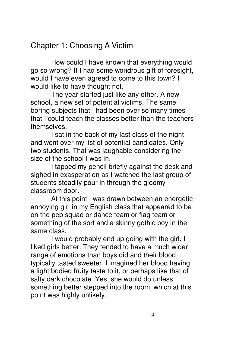# Chapter 1: Choosing A Victim

 How could I have known that everything would go so wrong? If I had some wondrous gift of foresight, would I have even agreed to come to this town? I would like to have thought not.

 The year started just like any other. A new school, a new set of potential victims. The same boring subjects that I had been over so many times that I could teach the classes better than the teachers themselves.

I sat in the back of my last class of the night and went over my list of potential candidates. Only two students. That was laughable considering the size of the school I was in.

 I tapped my pencil briefly against the desk and sighed in exasperation as I watched the last group of students steadily pour in through the gloomy classroom door.

 At this point I was drawn between an energetic annoying girl in my English class that appeared to be on the pep squad or dance team or flag team or something of the sort and a skinny gothic boy in the same class.

 I would probably end up going with the girl. I liked girls better. They tended to have a much wider range of emotions than boys did and their blood typically tasted sweeter. I imagined her blood having a light bodied fruity taste to it, or perhaps like that of salty dark chocolate. Yes, she would do unless something better stepped into the room, which at this point was highly unlikely.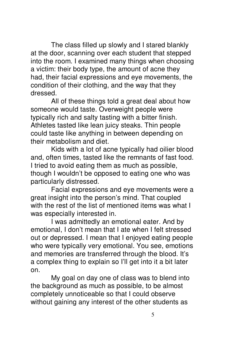The class filled up slowly and I stared blankly at the door, scanning over each student that stepped into the room. I examined many things when choosing a victim: their body type, the amount of acne they had, their facial expressions and eye movements, the condition of their clothing, and the way that they dressed.

 All of these things told a great deal about how someone would taste. Overweight people were typically rich and salty tasting with a bitter finish. Athletes tasted like lean juicy steaks. Thin people could taste like anything in between depending on their metabolism and diet.

 Kids with a lot of acne typically had oilier blood and, often times, tasted like the remnants of fast food. I tried to avoid eating them as much as possible, though I wouldn't be opposed to eating one who was particularly distressed.

 Facial expressions and eye movements were a great insight into the person's mind. That coupled with the rest of the list of mentioned items was what I was especially interested in.

 I was admittedly an emotional eater. And by emotional, I don't mean that I ate when I felt stressed out or depressed. I mean that I enjoyed eating people who were typically very emotional. You see, emotions and memories are transferred through the blood. It's a complex thing to explain so I'll get into it a bit later on.

 My goal on day one of class was to blend into the background as much as possible, to be almost completely unnoticeable so that I could observe without gaining any interest of the other students as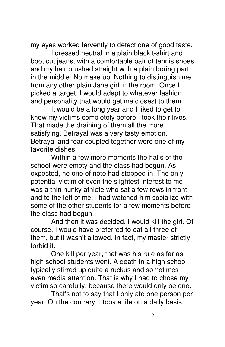my eyes worked fervently to detect one of good taste.

 I dressed neutral in a plain black t-shirt and boot cut jeans, with a comfortable pair of tennis shoes and my hair brushed straight with a plain boring part in the middle. No make up. Nothing to distinguish me from any other plain Jane girl in the room. Once I picked a target, I would adapt to whatever fashion and personality that would get me closest to them.

 It would be a long year and I liked to get to know my victims completely before I took their lives. That made the draining of them all the more satisfying. Betrayal was a very tasty emotion. Betrayal and fear coupled together were one of my favorite dishes.

 Within a few more moments the halls of the school were empty and the class had begun. As expected, no one of note had stepped in. The only potential victim of even the slightest interest to me was a thin hunky athlete who sat a few rows in front and to the left of me. I had watched him socialize with some of the other students for a few moments before the class had begun.

 And then it was decided. I would kill the girl. Of course, I would have preferred to eat all three of them, but it wasn't allowed. In fact, my master strictly forbid it.

 One kill per year, that was his rule as far as high school students went. A death in a high school typically stirred up quite a ruckus and sometimes even media attention. That is why I had to chose my victim so carefully, because there would only be one.

 That's not to say that I only ate one person per year. On the contrary, I took a life on a daily basis,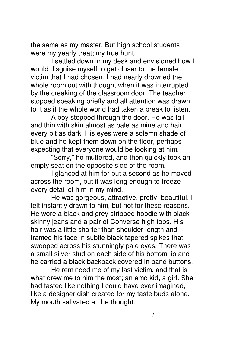the same as my master. But high school students were my yearly treat; my true hunt.

 I settled down in my desk and envisioned how I would disguise myself to get closer to the female victim that I had chosen. I had nearly drowned the whole room out with thought when it was interrupted by the creaking of the classroom door. The teacher stopped speaking briefly and all attention was drawn to it as if the whole world had taken a break to listen.

 A boy stepped through the door. He was tall and thin with skin almost as pale as mine and hair every bit as dark. His eyes were a solemn shade of blue and he kept them down on the floor, perhaps expecting that everyone would be looking at him.

 "Sorry," he muttered, and then quickly took an empty seat on the opposite side of the room.

 I glanced at him for but a second as he moved across the room, but it was long enough to freeze every detail of him in my mind.

 He was gorgeous, attractive, pretty, beautiful. I felt instantly drawn to him, but not for these reasons. He wore a black and grey stripped hoodie with black skinny jeans and a pair of Converse high tops. His hair was a little shorter than shoulder length and framed his face in subtle black tapered spikes that swooped across his stunningly pale eyes. There was a small silver stud on each side of his bottom lip and he carried a black backpack covered in band buttons.

 He reminded me of my last victim, and that is what drew me to him the most; an emo kid, a girl. She had tasted like nothing I could have ever imagined, like a designer dish created for my taste buds alone. My mouth salivated at the thought.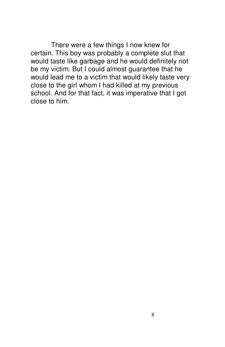There were a few things I now knew for certain. This boy was probably a complete slut that would taste like garbage and he would definitely not be my victim. But I could almost guarantee that he would lead me to a victim that would likely taste very close to the girl whom I had killed at my previous school. And for that fact, it was imperative that I got close to him.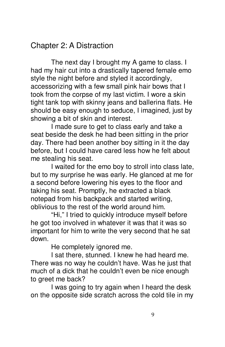### Chapter 2: A Distraction

 The next day I brought my A game to class. I had my hair cut into a drastically tapered female emo style the night before and styled it accordingly, accessorizing with a few small pink hair bows that I took from the corpse of my last victim. I wore a skin tight tank top with skinny jeans and ballerina flats. He should be easy enough to seduce, I imagined, just by showing a bit of skin and interest.

 I made sure to get to class early and take a seat beside the desk he had been sitting in the prior day. There had been another boy sitting in it the day before, but I could have cared less how he felt about me stealing his seat.

 I waited for the emo boy to stroll into class late, but to my surprise he was early. He glanced at me for a second before lowering his eyes to the floor and taking his seat. Promptly, he extracted a black notepad from his backpack and started writing, oblivious to the rest of the world around him.

 "Hi," I tried to quickly introduce myself before he got too involved in whatever it was that it was so important for him to write the very second that he sat down.

He completely ignored me.

 I sat there, stunned. I knew he had heard me. There was no way he couldn't have. Was he just that much of a dick that he couldn't even be nice enough to greet me back?

 I was going to try again when I heard the desk on the opposite side scratch across the cold tile in my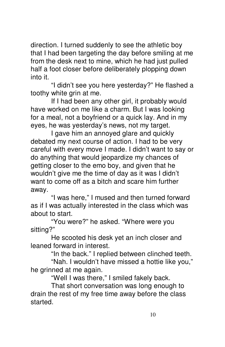direction. I turned suddenly to see the athletic boy that I had been targeting the day before smiling at me from the desk next to mine, which he had just pulled half a foot closer before deliberately plopping down into it.

 "I didn't see you here yesterday?" He flashed a toothy white grin at me.

 If I had been any other girl, it probably would have worked on me like a charm. But I was looking for a meal, not a boyfriend or a quick lay. And in my eyes, he was yesterday's news, not my target.

 I gave him an annoyed glare and quickly debated my next course of action. I had to be very careful with every move I made. I didn't want to say or do anything that would jeopardize my chances of getting closer to the emo boy, and given that he wouldn't give me the time of day as it was I didn't want to come off as a bitch and scare him further away.

 "I was here," I mused and then turned forward as if I was actually interested in the class which was about to start.

 "You were?" he asked. "Where were you sitting?"

 He scooted his desk yet an inch closer and leaned forward in interest.

"In the back." I replied between clinched teeth.

 "Nah. I wouldn't have missed a hottie like you," he grinned at me again.

"Well I was there," I smiled fakely back.

 That short conversation was long enough to drain the rest of my free time away before the class started.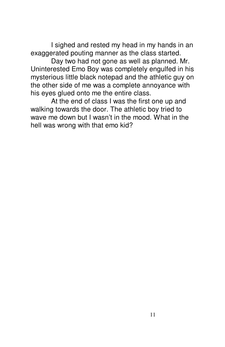I sighed and rested my head in my hands in an exaggerated pouting manner as the class started.

 Day two had not gone as well as planned. Mr. Uninterested Emo Boy was completely engulfed in his mysterious little black notepad and the athletic guy on the other side of me was a complete annoyance with his eyes glued onto me the entire class.

 At the end of class I was the first one up and walking towards the door. The athletic boy tried to wave me down but I wasn't in the mood. What in the hell was wrong with that emo kid?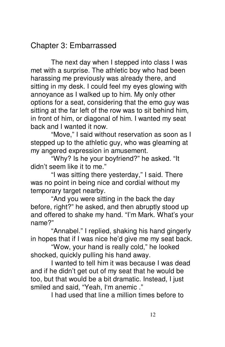### Chapter 3: Embarrassed

 The next day when I stepped into class I was met with a surprise. The athletic boy who had been harassing me previously was already there, and sitting in my desk. I could feel my eyes glowing with annoyance as I walked up to him. My only other options for a seat, considering that the emo guy was sitting at the far left of the row was to sit behind him, in front of him, or diagonal of him. I wanted my seat back and I wanted it now.

 "Move," I said without reservation as soon as I stepped up to the athletic guy, who was gleaming at my angered expression in amusement.

 "Why? Is he your boyfriend?" he asked. "It didn't seem like it to me."

 "I was sitting there yesterday," I said. There was no point in being nice and cordial without my temporary target nearby.

 "And you were sitting in the back the day before, right?" he asked, and then abruptly stood up and offered to shake my hand. "I'm Mark. What's your name?"

 "Annabel." I replied, shaking his hand gingerly in hopes that if I was nice he'd give me my seat back.

 "Wow, your hand is really cold," he looked shocked, quickly pulling his hand away.

 I wanted to tell him it was because I was dead and if he didn't get out of my seat that he would be too, but that would be a bit dramatic. Instead, I just smiled and said, "Yeah, I'm anemic ."

I had used that line a million times before to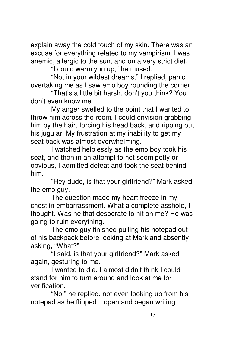explain away the cold touch of my skin. There was an excuse for everything related to my vampirism. I was anemic, allergic to the sun, and on a very strict diet.

"I could warm you up," he mused.

 "Not in your wildest dreams," I replied, panic overtaking me as I saw emo boy rounding the corner.

 "That's a little bit harsh, don't you think? You don't even know me."

 My anger swelled to the point that I wanted to throw him across the room. I could envision grabbing him by the hair, forcing his head back, and ripping out his jugular. My frustration at my inability to get my seat back was almost overwhelming.

 I watched helplessly as the emo boy took his seat, and then in an attempt to not seem petty or obvious, I admitted defeat and took the seat behind him.

 "Hey dude, is that your girlfriend?" Mark asked the emo guy.

 The question made my heart freeze in my chest in embarrassment. What a complete asshole, I thought. Was he that desperate to hit on me? He was going to ruin everything.

 The emo guy finished pulling his notepad out of his backpack before looking at Mark and absently asking, "What?"

 "I said, is that your girlfriend?" Mark asked again, gesturing to me.

 I wanted to die. I almost didn't think I could stand for him to turn around and look at me for verification.

 "No," he replied, not even looking up from his notepad as he flipped it open and began writing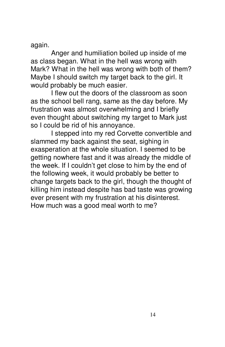again.

 Anger and humiliation boiled up inside of me as class began. What in the hell was wrong with Mark? What in the hell was wrong with both of them? Maybe I should switch my target back to the girl. It would probably be much easier.

 I flew out the doors of the classroom as soon as the school bell rang, same as the day before. My frustration was almost overwhelming and I briefly even thought about switching my target to Mark just so I could be rid of his annoyance.

 I stepped into my red Corvette convertible and slammed my back against the seat, sighing in exasperation at the whole situation. I seemed to be getting nowhere fast and it was already the middle of the week. If I couldn't get close to him by the end of the following week, it would probably be better to change targets back to the girl, though the thought of killing him instead despite has bad taste was growing ever present with my frustration at his disinterest. How much was a good meal worth to me?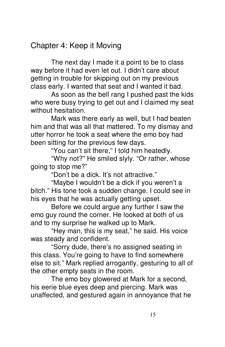# Chapter 4: Keep it Moving

 The next day I made it a point to be to class way before it had even let out. I didn't care about getting in trouble for skipping out on my previous class early. I wanted that seat and I wanted it bad.

 As soon as the bell rang I pushed past the kids who were busy trying to get out and I claimed my seat without hesitation.

 Mark was there early as well, but I had beaten him and that was all that mattered. To my dismay and utter horror he took a seat where the emo boy had been sitting for the previous few days.

"You can't sit there," I told him heatedly.

 "Why not?" He smiled slyly. "Or rather, whose going to stop me?"

"Don't be a dick. It's not attractive."

 "Maybe I wouldn't be a dick if you weren't a bitch." His tone took a sudden change. I could see in his eyes that he was actually getting upset.

 Before we could argue any further I saw the emo guy round the corner. He looked at both of us and to my surprise he walked up to Mark.

 "Hey man, this is my seat," he said. His voice was steady and confident.

 "Sorry dude, there's no assigned seating in this class. You're going to have to find somewhere else to sit." Mark replied arrogantly, gesturing to all of the other empty seats in the room.

 The emo boy glowered at Mark for a second, his eerie blue eyes deep and piercing. Mark was unaffected, and gestured again in annoyance that he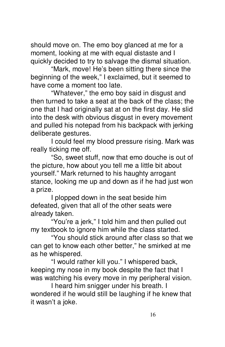should move on. The emo boy glanced at me for a moment, looking at me with equal distaste and I quickly decided to try to salvage the dismal situation.

 "Mark, move! He's been sitting there since the beginning of the week," I exclaimed, but it seemed to have come a moment too late.

 "Whatever," the emo boy said in disgust and then turned to take a seat at the back of the class; the one that I had originally sat at on the first day. He slid into the desk with obvious disgust in every movement and pulled his notepad from his backpack with jerking deliberate gestures.

 I could feel my blood pressure rising. Mark was really ticking me off.

 "So, sweet stuff, now that emo douche is out of the picture, how about you tell me a little bit about yourself." Mark returned to his haughty arrogant stance, looking me up and down as if he had just won a prize.

 I plopped down in the seat beside him defeated, given that all of the other seats were already taken.

 "You're a jerk," I told him and then pulled out my textbook to ignore him while the class started.

 "You should stick around after class so that we can get to know each other better," he smirked at me as he whispered.

 "I would rather kill you." I whispered back, keeping my nose in my book despite the fact that I was watching his every move in my peripheral vision.

 I heard him snigger under his breath. I wondered if he would still be laughing if he knew that it wasn't a joke.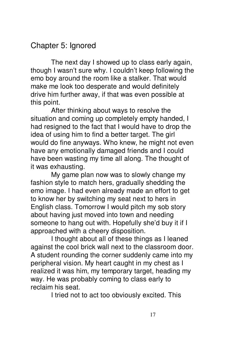### Chapter 5: Ignored

 The next day I showed up to class early again, though I wasn't sure why. I couldn't keep following the emo boy around the room like a stalker. That would make me look too desperate and would definitely drive him further away, if that was even possible at this point.

 After thinking about ways to resolve the situation and coming up completely empty handed, I had resigned to the fact that I would have to drop the idea of using him to find a better target. The girl would do fine anyways. Who knew, he might not even have any emotionally damaged friends and I could have been wasting my time all along. The thought of it was exhausting.

 My game plan now was to slowly change my fashion style to match hers, gradually shedding the emo image. I had even already made an effort to get to know her by switching my seat next to hers in English class. Tomorrow I would pitch my sob story about having just moved into town and needing someone to hang out with. Hopefully she'd buy it if I approached with a cheery disposition.

 I thought about all of these things as I leaned against the cool brick wall next to the classroom door. A student rounding the corner suddenly came into my peripheral vision. My heart caught in my chest as I realized it was him, my temporary target, heading my way. He was probably coming to class early to reclaim his seat.

I tried not to act too obviously excited. This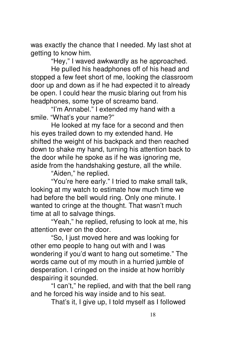was exactly the chance that I needed. My last shot at getting to know him.

"Hey," I waved awkwardly as he approached.

 He pulled his headphones off of his head and stopped a few feet short of me, looking the classroom door up and down as if he had expected it to already be open. I could hear the music blaring out from his headphones, some type of screamo band.

 "I'm Annabel." I extended my hand with a smile. "What's your name?"

 He looked at my face for a second and then his eyes trailed down to my extended hand. He shifted the weight of his backpack and then reached down to shake my hand, turning his attention back to the door while he spoke as if he was ignoring me, aside from the handshaking gesture, all the while.

"Aiden," he replied.

 "You're here early." I tried to make small talk, looking at my watch to estimate how much time we had before the bell would ring. Only one minute. I wanted to cringe at the thought. That wasn't much time at all to salvage things.

 "Yeah," he replied, refusing to look at me, his attention ever on the door.

 "So, I just moved here and was looking for other emo people to hang out with and I was wondering if you'd want to hang out sometime." The words came out of my mouth in a hurried jumble of desperation. I cringed on the inside at how horribly despairing it sounded.

 "I can't," he replied, and with that the bell rang and he forced his way inside and to his seat.

That's it, I give up, I told myself as I followed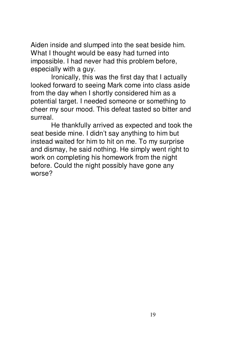Aiden inside and slumped into the seat beside him. What I thought would be easy had turned into impossible. I had never had this problem before, especially with a guy.

 Ironically, this was the first day that I actually looked forward to seeing Mark come into class aside from the day when I shortly considered him as a potential target. I needed someone or something to cheer my sour mood. This defeat tasted so bitter and surreal.

 He thankfully arrived as expected and took the seat beside mine. I didn't say anything to him but instead waited for him to hit on me. To my surprise and dismay, he said nothing. He simply went right to work on completing his homework from the night before. Could the night possibly have gone any worse?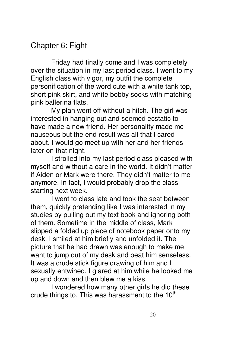# Chapter 6: Fight

 Friday had finally come and I was completely over the situation in my last period class. I went to my English class with vigor, my outfit the complete personification of the word cute with a white tank top, short pink skirt, and white bobby socks with matching pink ballerina flats.

 My plan went off without a hitch. The girl was interested in hanging out and seemed ecstatic to have made a new friend. Her personality made me nauseous but the end result was all that I cared about. I would go meet up with her and her friends later on that night.

 I strolled into my last period class pleased with myself and without a care in the world. It didn't matter if Aiden or Mark were there. They didn't matter to me anymore. In fact, I would probably drop the class starting next week.

 I went to class late and took the seat between them, quickly pretending like I was interested in my studies by pulling out my text book and ignoring both of them. Sometime in the middle of class, Mark slipped a folded up piece of notebook paper onto my desk. I smiled at him briefly and unfolded it. The picture that he had drawn was enough to make me want to jump out of my desk and beat him senseless. It was a crude stick figure drawing of him and I sexually entwined. I glared at him while he looked me up and down and then blew me a kiss.

 I wondered how many other girls he did these crude things to. This was harassment to the  $10<sup>th</sup>$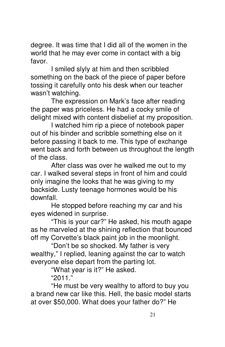degree. It was time that I did all of the women in the world that he may ever come in contact with a big favor.

 I smiled slyly at him and then scribbled something on the back of the piece of paper before tossing it carefully onto his desk when our teacher wasn't watching.

 The expression on Mark's face after reading the paper was priceless. He had a cocky smile of delight mixed with content disbelief at my proposition.

 I watched him rip a piece of notebook paper out of his binder and scribble something else on it before passing it back to me. This type of exchange went back and forth between us throughout the length of the class.

 After class was over he walked me out to my car. I walked several steps in front of him and could only imagine the looks that he was giving to my backside. Lusty teenage hormones would be his downfall.

 He stopped before reaching my car and his eyes widened in surprise.

 "This is your car?" He asked, his mouth agape as he marveled at the shining reflection that bounced off my Corvette's black paint job in the moonlight.

 "Don't be so shocked. My father is very wealthy," I replied, leaning against the car to watch everyone else depart from the parting lot.

"What year is it?" He asked.

"2011."

 "He must be very wealthy to afford to buy you a brand new car like this. Hell, the basic model starts at over \$50,000. What does your father do?" He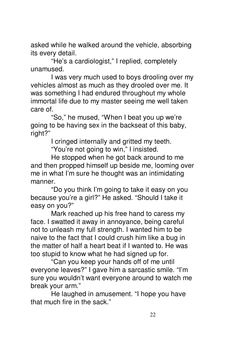asked while he walked around the vehicle, absorbing its every detail.

 "He's a cardiologist," I replied, completely unamused.

 I was very much used to boys drooling over my vehicles almost as much as they drooled over me. It was something I had endured throughout my whole immortal life due to my master seeing me well taken care of.

 "So," he mused, "When I beat you up we're going to be having sex in the backseat of this baby, right?"

I cringed internally and gritted my teeth.

"You're not going to win," I insisted.

 He stopped when he got back around to me and then propped himself up beside me, looming over me in what I'm sure he thought was an intimidating manner.

 "Do you think I'm going to take it easy on you because you're a girl?" He asked. "Should I take it easy on you?"

 Mark reached up his free hand to caress my face. I swatted it away in annoyance, being careful not to unleash my full strength. I wanted him to be naive to the fact that I could crush him like a bug in the matter of half a heart beat if I wanted to. He was too stupid to know what he had signed up for.

 "Can you keep your hands off of me until everyone leaves?" I gave him a sarcastic smile. "I'm sure you wouldn't want everyone around to watch me break your arm."

 He laughed in amusement. "I hope you have that much fire in the sack."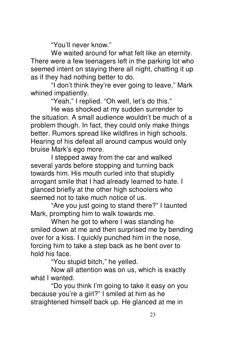"You'll never know."

 We waited around for what felt like an eternity. There were a few teenagers left in the parking lot who seemed intent on staying there all night, chatting it up as if they had nothing better to do.

 "I don't think they're ever going to leave," Mark whined impatiently.

"Yeah," I replied. "Oh well, let's do this."

 He was shocked at my sudden surrender to the situation. A small audience wouldn't be much of a problem though. In fact, they could only make things better. Rumors spread like wildfires in high schools. Hearing of his defeat all around campus would only bruise Mark's ego more.

 I stepped away from the car and walked several yards before stopping and turning back towards him. His mouth curled into that stupidly arrogant smile that I had already learned to hate. I glanced briefly at the other high schoolers who seemed not to take much notice of us.

 "Are you just going to stand there?" I taunted Mark, prompting him to walk towards me.

 When he got to where I was standing he smiled down at me and then surprised me by bending over for a kiss. I quickly punched him in the nose, forcing him to take a step back as he bent over to hold his face.

"You stupid bitch," he yelled.

 Now all attention was on us, which is exactly what I wanted.

 "Do you think I'm going to take it easy on you because you're a girl?" I smiled at him as he straightened himself back up. He glanced at me in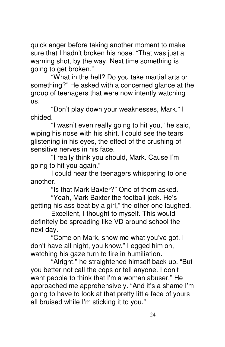quick anger before taking another moment to make sure that I hadn't broken his nose. "That was just a warning shot, by the way. Next time something is going to get broken."

 "What in the hell? Do you take martial arts or something?" He asked with a concerned glance at the group of teenagers that were now intently watching us.

 "Don't play down your weaknesses, Mark." I chided.

 "I wasn't even really going to hit you," he said, wiping his nose with his shirt. I could see the tears glistening in his eyes, the effect of the crushing of sensitive nerves in his face.

 "I really think you should, Mark. Cause I'm going to hit you again."

 I could hear the teenagers whispering to one another.

"Is that Mark Baxter?" One of them asked.

 "Yeah, Mark Baxter the football jock. He's getting his ass beat by a girl," the other one laughed.

 Excellent, I thought to myself. This would definitely be spreading like VD around school the next day.

 "Come on Mark, show me what you've got. I don't have all night, you know." I egged him on, watching his gaze turn to fire in humiliation.

 "Alright," he straightened himself back up. "But you better not call the cops or tell anyone. I don't want people to think that I'm a woman abuser." He approached me apprehensively. "And it's a shame I'm going to have to look at that pretty little face of yours all bruised while I'm sticking it to you."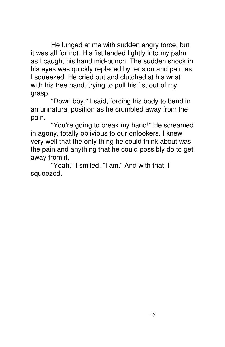He lunged at me with sudden angry force, but it was all for not. His fist landed lightly into my palm as I caught his hand mid-punch. The sudden shock in his eyes was quickly replaced by tension and pain as I squeezed. He cried out and clutched at his wrist with his free hand, trying to pull his fist out of my grasp.

 "Down boy," I said, forcing his body to bend in an unnatural position as he crumbled away from the pain.

 "You're going to break my hand!" He screamed in agony, totally oblivious to our onlookers. I knew very well that the only thing he could think about was the pain and anything that he could possibly do to get away from it.

 "Yeah," I smiled. "I am." And with that, I squeezed.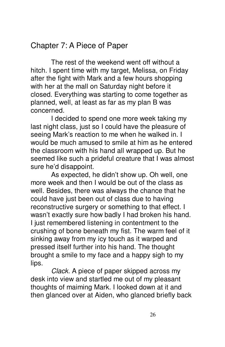# Chapter 7: A Piece of Paper

 The rest of the weekend went off without a hitch. I spent time with my target, Melissa, on Friday after the fight with Mark and a few hours shopping with her at the mall on Saturday night before it closed. Everything was starting to come together as planned, well, at least as far as my plan B was concerned.

 I decided to spend one more week taking my last night class, just so I could have the pleasure of seeing Mark's reaction to me when he walked in. I would be much amused to smile at him as he entered the classroom with his hand all wrapped up. But he seemed like such a prideful creature that I was almost sure he'd disappoint.

 As expected, he didn't show up. Oh well, one more week and then I would be out of the class as well. Besides, there was always the chance that he could have just been out of class due to having reconstructive surgery or something to that effect. I wasn't exactly sure how badly I had broken his hand. I just remembered listening in contentment to the crushing of bone beneath my fist. The warm feel of it sinking away from my icy touch as it warped and pressed itself further into his hand. The thought brought a smile to my face and a happy sigh to my lips.

Clack. A piece of paper skipped across my desk into view and startled me out of my pleasant thoughts of maiming Mark. I looked down at it and then glanced over at Aiden, who glanced briefly back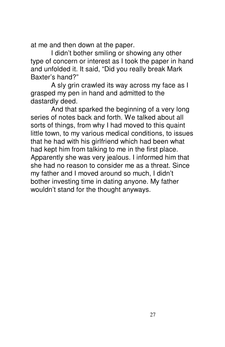at me and then down at the paper.

 I didn't bother smiling or showing any other type of concern or interest as I took the paper in hand and unfolded it. It said, "Did you really break Mark Baxter's hand?"

 A sly grin crawled its way across my face as I grasped my pen in hand and admitted to the dastardly deed.

 And that sparked the beginning of a very long series of notes back and forth. We talked about all sorts of things, from why I had moved to this quaint little town, to my various medical conditions, to issues that he had with his girlfriend which had been what had kept him from talking to me in the first place. Apparently she was very jealous. I informed him that she had no reason to consider me as a threat. Since my father and I moved around so much, I didn't bother investing time in dating anyone. My father wouldn't stand for the thought anyways.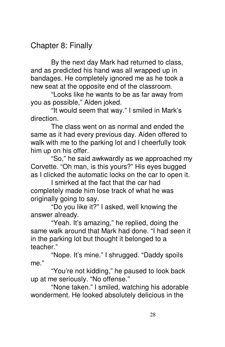# Chapter 8: Finally

 By the next day Mark had returned to class, and as predicted his hand was all wrapped up in bandages. He completely ignored me as he took a new seat at the opposite end of the classroom.

 "Looks like he wants to be as far away from you as possible," Aiden joked.

 "It would seem that way." I smiled in Mark's direction.

 The class went on as normal and ended the same as it had every previous day. Aiden offered to walk with me to the parking lot and I cheerfully took him up on his offer.

 "So," he said awkwardly as we approached my Corvette. "Oh man, is this yours?" His eyes bugged as I clicked the automatic locks on the car to open it.

 I smirked at the fact that the car had completely made him lose track of what he was originally going to say.

 "Do you like it?" I asked, well knowing the answer already.

 "Yeah. It's amazing," he replied, doing the same walk around that Mark had done. "I had seen it in the parking lot but thought it belonged to a teacher."

 "Nope. It's mine." I shrugged. "Daddy spoils me."

 "You're not kidding," he paused to look back up at me seriously. "No offense."

 "None taken." I smiled, watching his adorable wonderment. He looked absolutely delicious in the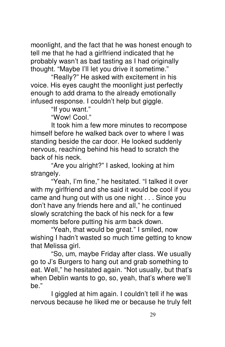moonlight, and the fact that he was honest enough to tell me that he had a girlfriend indicated that he probably wasn't as bad tasting as I had originally thought. "Maybe I'll let you drive it sometime."

 "Really?" He asked with excitement in his voice. His eyes caught the moonlight just perfectly enough to add drama to the already emotionally infused response. I couldn't help but giggle.

"If you want."

"Wow! Cool."

 It took him a few more minutes to recompose himself before he walked back over to where I was standing beside the car door. He looked suddenly nervous, reaching behind his head to scratch the back of his neck.

 "Are you alright?" I asked, looking at him strangely.

 "Yeah, I'm fine," he hesitated. "I talked it over with my girlfriend and she said it would be cool if you came and hung out with us one night . . . Since you don't have any friends here and all," he continued slowly scratching the back of his neck for a few moments before putting his arm back down.

 "Yeah, that would be great." I smiled, now wishing I hadn't wasted so much time getting to know that Melissa girl.

 "So, um, maybe Friday after class. We usually go to J's Burgers to hang out and grab something to eat. Well," he hesitated again. "Not usually, but that's when Deblin wants to go, so, yeah, that's where we'll be."

 I giggled at him again. I couldn't tell if he was nervous because he liked me or because he truly felt